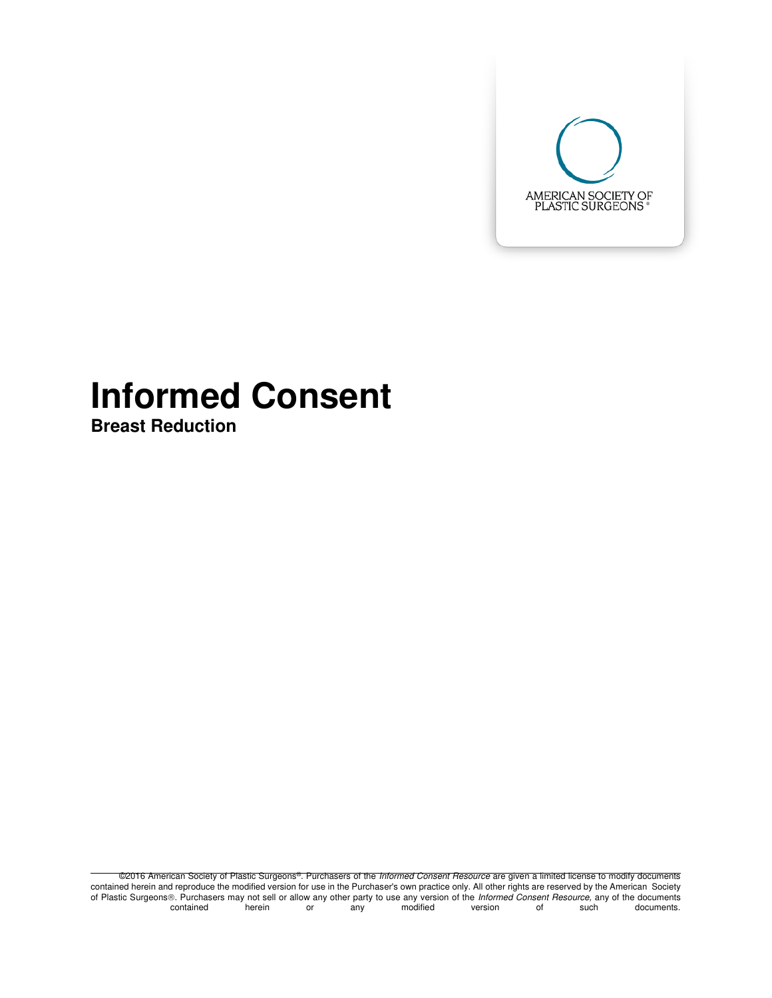

# **Informed Consent**

**Breast Reduction** 

©2016 American Society of Plastic Surgeons®. Purchasers of the *Informed Consent Resource* are given a limited license to modify documents contained herein and reproduce the modified version for use in the Purchaser's own practice only. All other rights are reserved by the American Society of Plastic Surgeons. Purchasers may not sell or allow any other party to use any version of the *Informed Consent Resource*, any of the documents.<br>contained herein or any modified version of such documents. contained herein or any modified version of such documents.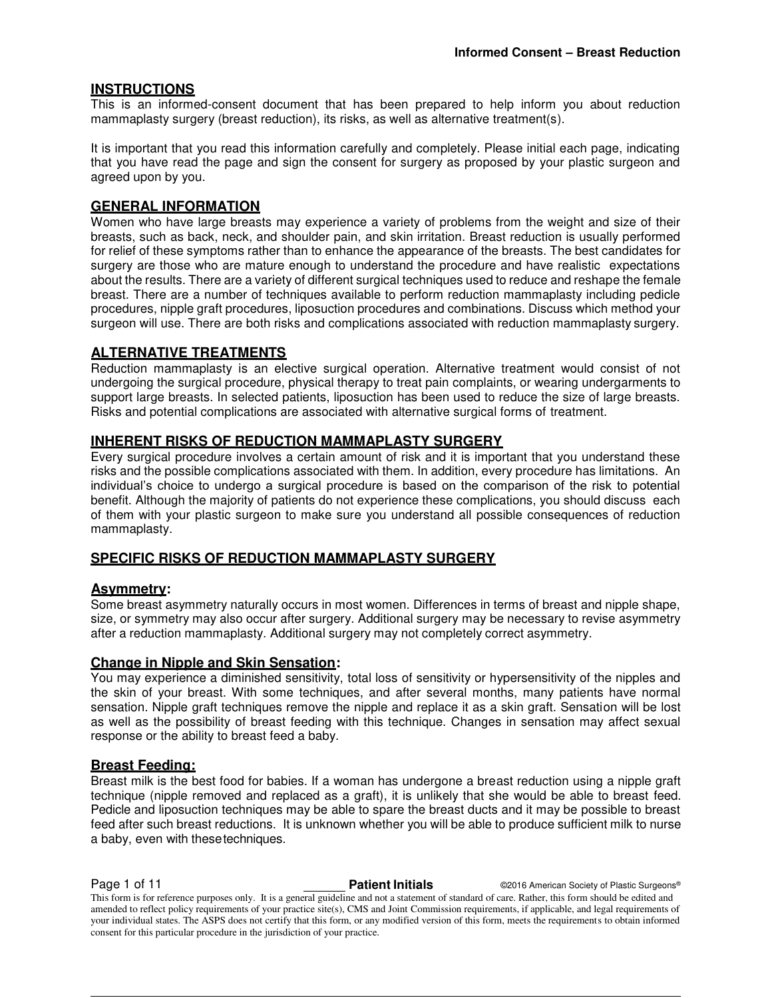### **INSTRUCTIONS**

This is an informed-consent document that has been prepared to help inform you about reduction mammaplasty surgery (breast reduction), its risks, as well as alternative treatment(s).

It is important that you read this information carefully and completely. Please initial each page, indicating that you have read the page and sign the consent for surgery as proposed by your plastic surgeon and agreed upon by you.

### **GENERAL INFORMATION**

Women who have large breasts may experience a variety of problems from the weight and size of their breasts, such as back, neck, and shoulder pain, and skin irritation. Breast reduction is usually performed for relief of these symptoms rather than to enhance the appearance of the breasts. The best candidates for surgery are those who are mature enough to understand the procedure and have realistic expectations about the results. There are a variety of different surgical techniques used to reduce and reshape the female breast. There are a number of techniques available to perform reduction mammaplasty including pedicle procedures, nipple graft procedures, liposuction procedures and combinations. Discuss which method your surgeon will use. There are both risks and complications associated with reduction mammaplasty surgery.

#### **ALTERNATIVE TREATMENTS**

Reduction mammaplasty is an elective surgical operation. Alternative treatment would consist of not undergoing the surgical procedure, physical therapy to treat pain complaints, or wearing undergarments to support large breasts. In selected patients, liposuction has been used to reduce the size of large breasts. Risks and potential complications are associated with alternative surgical forms of treatment.

#### **INHERENT RISKS OF REDUCTION MAMMAPLASTY SURGERY**

Every surgical procedure involves a certain amount of risk and it is important that you understand these risks and the possible complications associated with them. In addition, every procedure has limitations. An individual's choice to undergo a surgical procedure is based on the comparison of the risk to potential benefit. Although the majority of patients do not experience these complications, you should discuss each of them with your plastic surgeon to make sure you understand all possible consequences of reduction mammaplasty.

### **SPECIFIC RISKS OF REDUCTION MAMMAPLASTY SURGERY**

#### **Asymmetry:**

Some breast asymmetry naturally occurs in most women. Differences in terms of breast and nipple shape, size, or symmetry may also occur after surgery. Additional surgery may be necessary to revise asymmetry after a reduction mammaplasty. Additional surgery may not completely correct asymmetry.

#### **Change in Nipple and Skin Sensation:**

You may experience a diminished sensitivity, total loss of sensitivity or hypersensitivity of the nipples and the skin of your breast. With some techniques, and after several months, many patients have normal sensation. Nipple graft techniques remove the nipple and replace it as a skin graft. Sensation will be lost as well as the possibility of breast feeding with this technique. Changes in sensation may affect sexual response or the ability to breast feed a baby.

#### **Breast Feeding:**

Breast milk is the best food for babies. If a woman has undergone a breast reduction using a nipple graft technique (nipple removed and replaced as a graft), it is unlikely that she would be able to breast feed. Pedicle and liposuction techniques may be able to spare the breast ducts and it may be possible to breast feed after such breast reductions. It is unknown whether you will be able to produce sufficient milk to nurse a baby, even with these techniques.

**Page 1 of 11 Patient Initials COMPTER AMERICAN COLLECT AMERICAN CONTRACT OF PLASTIC SURGEONS®**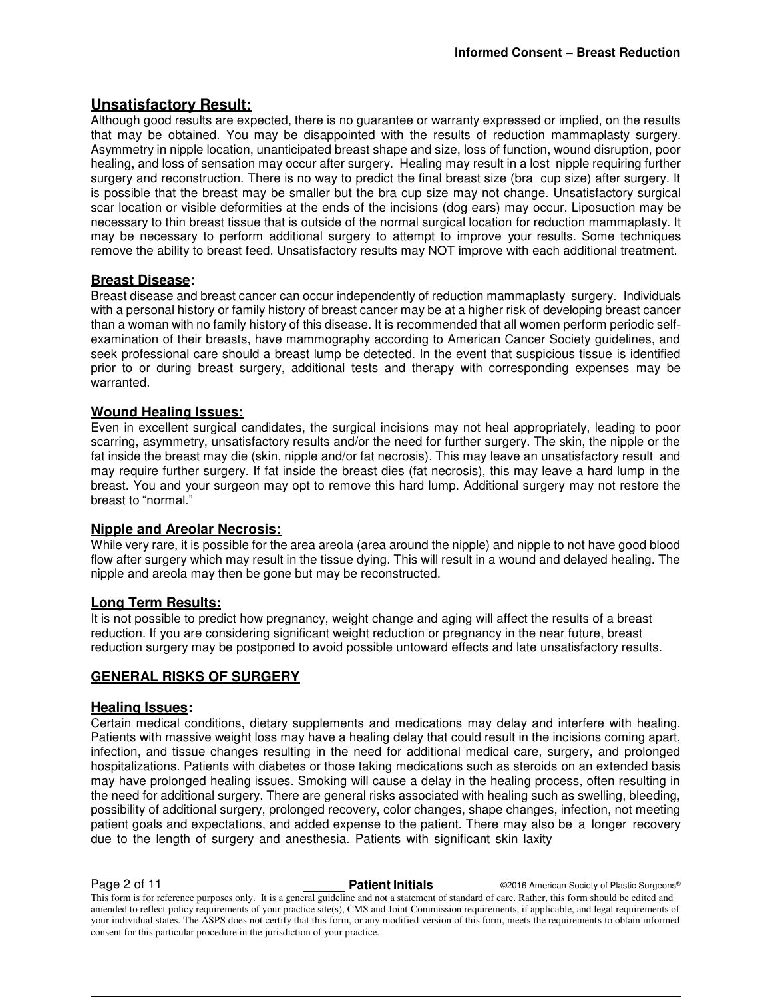### **Unsatisfactory Result:**

Although good results are expected, there is no guarantee or warranty expressed or implied, on the results that may be obtained. You may be disappointed with the results of reduction mammaplasty surgery. Asymmetry in nipple location, unanticipated breast shape and size, loss of function, wound disruption, poor healing, and loss of sensation may occur after surgery. Healing may result in a lost nipple requiring further surgery and reconstruction. There is no way to predict the final breast size (bra cup size) after surgery. It is possible that the breast may be smaller but the bra cup size may not change. Unsatisfactory surgical scar location or visible deformities at the ends of the incisions (dog ears) may occur. Liposuction may be necessary to thin breast tissue that is outside of the normal surgical location for reduction mammaplasty. It may be necessary to perform additional surgery to attempt to improve your results. Some techniques remove the ability to breast feed. Unsatisfactory results may NOT improve with each additional treatment.

#### **Breast Disease:**

Breast disease and breast cancer can occur independently of reduction mammaplasty surgery. Individuals with a personal history or family history of breast cancer may be at a higher risk of developing breast cancer than a woman with no family history of this disease. It is recommended that all women perform periodic selfexamination of their breasts, have mammography according to American Cancer Society guidelines, and seek professional care should a breast lump be detected. In the event that suspicious tissue is identified prior to or during breast surgery, additional tests and therapy with corresponding expenses may be warranted.

#### **Wound Healing Issues:**

Even in excellent surgical candidates, the surgical incisions may not heal appropriately, leading to poor scarring, asymmetry, unsatisfactory results and/or the need for further surgery. The skin, the nipple or the fat inside the breast may die (skin, nipple and/or fat necrosis). This may leave an unsatisfactory result and may require further surgery. If fat inside the breast dies (fat necrosis), this may leave a hard lump in the breast. You and your surgeon may opt to remove this hard lump. Additional surgery may not restore the breast to "normal."

#### **Nipple and Areolar Necrosis:**

While very rare, it is possible for the area areola (area around the nipple) and nipple to not have good blood flow after surgery which may result in the tissue dying. This will result in a wound and delayed healing. The nipple and areola may then be gone but may be reconstructed.

### **Long Term Results:**

It is not possible to predict how pregnancy, weight change and aging will affect the results of a breast reduction. If you are considering significant weight reduction or pregnancy in the near future, breast reduction surgery may be postponed to avoid possible untoward effects and late unsatisfactory results.

#### **GENERAL RISKS OF SURGERY**

#### **Healing Issues:**

Certain medical conditions, dietary supplements and medications may delay and interfere with healing. Patients with massive weight loss may have a healing delay that could result in the incisions coming apart, infection, and tissue changes resulting in the need for additional medical care, surgery, and prolonged hospitalizations. Patients with diabetes or those taking medications such as steroids on an extended basis may have prolonged healing issues. Smoking will cause a delay in the healing process, often resulting in the need for additional surgery. There are general risks associated with healing such as swelling, bleeding, possibility of additional surgery, prolonged recovery, color changes, shape changes, infection, not meeting patient goals and expectations, and added expense to the patient. There may also be a longer recovery due to the length of surgery and anesthesia. Patients with significant skin laxity

**Page 2 of 11 Patient Initials COVID-2016** American Society of Plastic Surgeons®

This form is for reference purposes only. It is a general guideline and not a statement of standard of care. Rather, this form should be edited and amended to reflect policy requirements of your practice site(s), CMS and Joint Commission requirements, if applicable, and legal requirements of your individual states. The ASPS does not certify that this form, or any modified version of this form, meets the requirements to obtain informed consent for this particular procedure in the jurisdiction of your practice.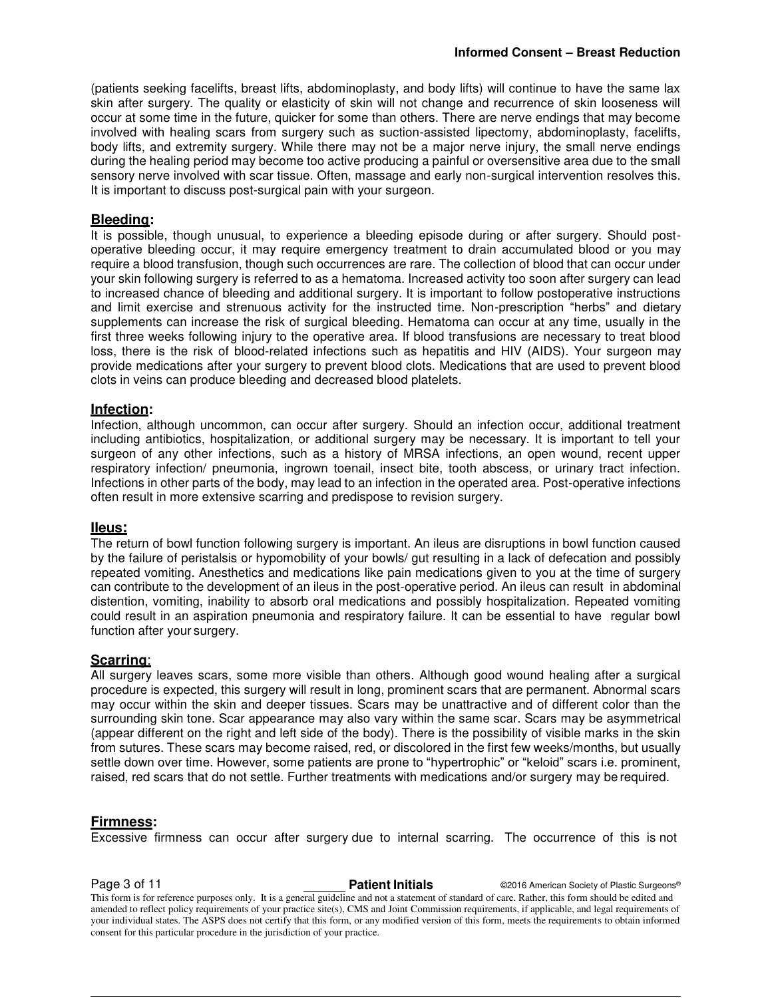(patients seeking facelifts, breast lifts, abdominoplasty, and body lifts) will continue to have the same lax skin after surgery. The quality or elasticity of skin will not change and recurrence of skin looseness will occur at some time in the future, quicker for some than others. There are nerve endings that may become involved with healing scars from surgery such as suction-assisted lipectomy, abdominoplasty, facelifts, body lifts, and extremity surgery. While there may not be a major nerve injury, the small nerve endings during the healing period may become too active producing a painful or oversensitive area due to the small sensory nerve involved with scar tissue. Often, massage and early non-surgical intervention resolves this. It is important to discuss post-surgical pain with your surgeon.

#### **Bleeding:**

It is possible, though unusual, to experience a bleeding episode during or after surgery. Should postoperative bleeding occur, it may require emergency treatment to drain accumulated blood or you may require a blood transfusion, though such occurrences are rare. The collection of blood that can occur under your skin following surgery is referred to as a hematoma. Increased activity too soon after surgery can lead to increased chance of bleeding and additional surgery. It is important to follow postoperative instructions and limit exercise and strenuous activity for the instructed time. Non-prescription "herbs" and dietary supplements can increase the risk of surgical bleeding. Hematoma can occur at any time, usually in the first three weeks following injury to the operative area. If blood transfusions are necessary to treat blood loss, there is the risk of blood-related infections such as hepatitis and HIV (AIDS). Your surgeon may provide medications after your surgery to prevent blood clots. Medications that are used to prevent blood clots in veins can produce bleeding and decreased blood platelets.

#### **Infection:**

Infection, although uncommon, can occur after surgery. Should an infection occur, additional treatment including antibiotics, hospitalization, or additional surgery may be necessary. It is important to tell your surgeon of any other infections, such as a history of MRSA infections, an open wound, recent upper respiratory infection/ pneumonia, ingrown toenail, insect bite, tooth abscess, or urinary tract infection. Infections in other parts of the body, may lead to an infection in the operated area. Post-operative infections often result in more extensive scarring and predispose to revision surgery.

#### **IIeus:**

The return of bowl function following surgery is important. An ileus are disruptions in bowl function caused by the failure of peristalsis or hypomobility of your bowls/ gut resulting in a lack of defecation and possibly repeated vomiting. Anesthetics and medications like pain medications given to you at the time of surgery can contribute to the development of an ileus in the post-operative period. An ileus can result in abdominal distention, vomiting, inability to absorb oral medications and possibly hospitalization. Repeated vomiting could result in an aspiration pneumonia and respiratory failure. It can be essential to have regular bowl function after your surgery.

#### **Scarring**:

All surgery leaves scars, some more visible than others. Although good wound healing after a surgical procedure is expected, this surgery will result in long, prominent scars that are permanent. Abnormal scars may occur within the skin and deeper tissues. Scars may be unattractive and of different color than the surrounding skin tone. Scar appearance may also vary within the same scar. Scars may be asymmetrical (appear different on the right and left side of the body). There is the possibility of visible marks in the skin from sutures. These scars may become raised, red, or discolored in the first few weeks/months, but usually settle down over time. However, some patients are prone to "hypertrophic" or "keloid" scars i.e. prominent, raised, red scars that do not settle. Further treatments with medications and/or surgery may be required.

#### **Firmness:**

Excessive firmness can occur after surgery due to internal scarring. The occurrence of this is not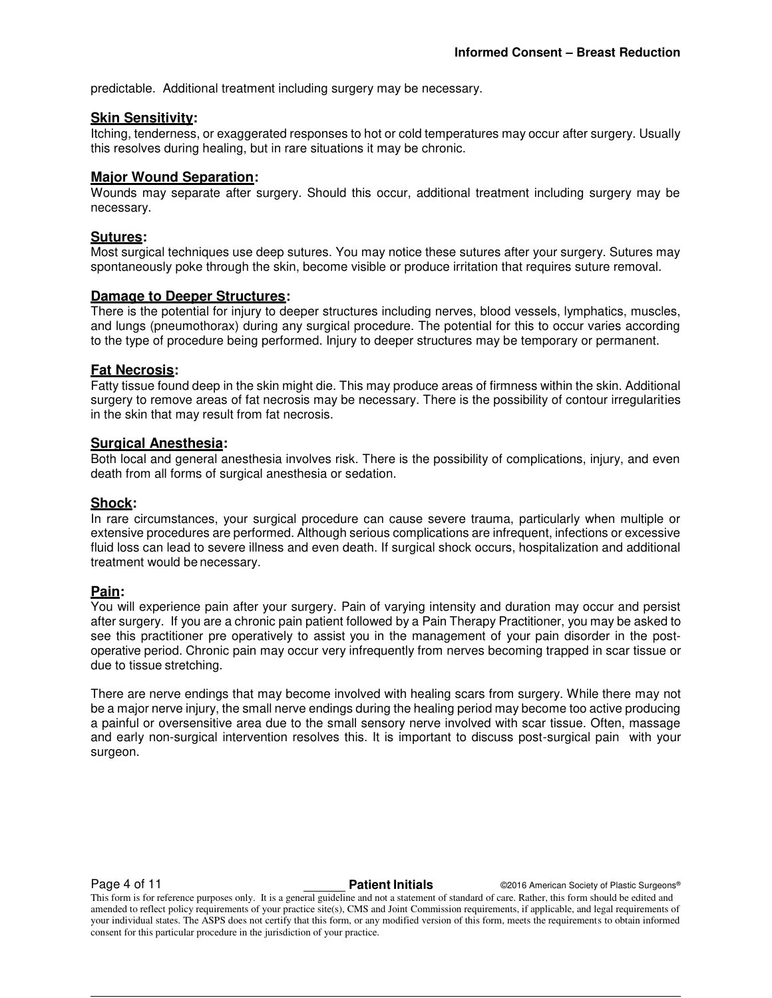predictable. Additional treatment including surgery may be necessary.

#### **Skin Sensitivity:**

Itching, tenderness, or exaggerated responses to hot or cold temperatures may occur after surgery. Usually this resolves during healing, but in rare situations it may be chronic.

#### **Major Wound Separation:**

Wounds may separate after surgery. Should this occur, additional treatment including surgery may be necessary.

#### **Sutures:**

Most surgical techniques use deep sutures. You may notice these sutures after your surgery. Sutures may spontaneously poke through the skin, become visible or produce irritation that requires suture removal.

#### **Damage to Deeper Structures:**

There is the potential for injury to deeper structures including nerves, blood vessels, lymphatics, muscles, and lungs (pneumothorax) during any surgical procedure. The potential for this to occur varies according to the type of procedure being performed. Injury to deeper structures may be temporary or permanent.

#### **Fat Necrosis:**

Fatty tissue found deep in the skin might die. This may produce areas of firmness within the skin. Additional surgery to remove areas of fat necrosis may be necessary. There is the possibility of contour irregularities in the skin that may result from fat necrosis.

#### **Surgical Anesthesia:**

Both local and general anesthesia involves risk. There is the possibility of complications, injury, and even death from all forms of surgical anesthesia or sedation.

#### **Shock:**

In rare circumstances, your surgical procedure can cause severe trauma, particularly when multiple or extensive procedures are performed. Although serious complications are infrequent, infections or excessive fluid loss can lead to severe illness and even death. If surgical shock occurs, hospitalization and additional treatment would be necessary.

#### **Pain:**

You will experience pain after your surgery. Pain of varying intensity and duration may occur and persist after surgery. If you are a chronic pain patient followed by a Pain Therapy Practitioner, you may be asked to see this practitioner pre operatively to assist you in the management of your pain disorder in the postoperative period. Chronic pain may occur very infrequently from nerves becoming trapped in scar tissue or due to tissue stretching.

There are nerve endings that may become involved with healing scars from surgery. While there may not be a major nerve injury, the small nerve endings during the healing period may become too active producing a painful or oversensitive area due to the small sensory nerve involved with scar tissue. Often, massage and early non-surgical intervention resolves this. It is important to discuss post-surgical pain with your surgeon.

**Page 4 of 11 Patient Initials Patient Initials C2016 American Society of Plastic Surgeons®**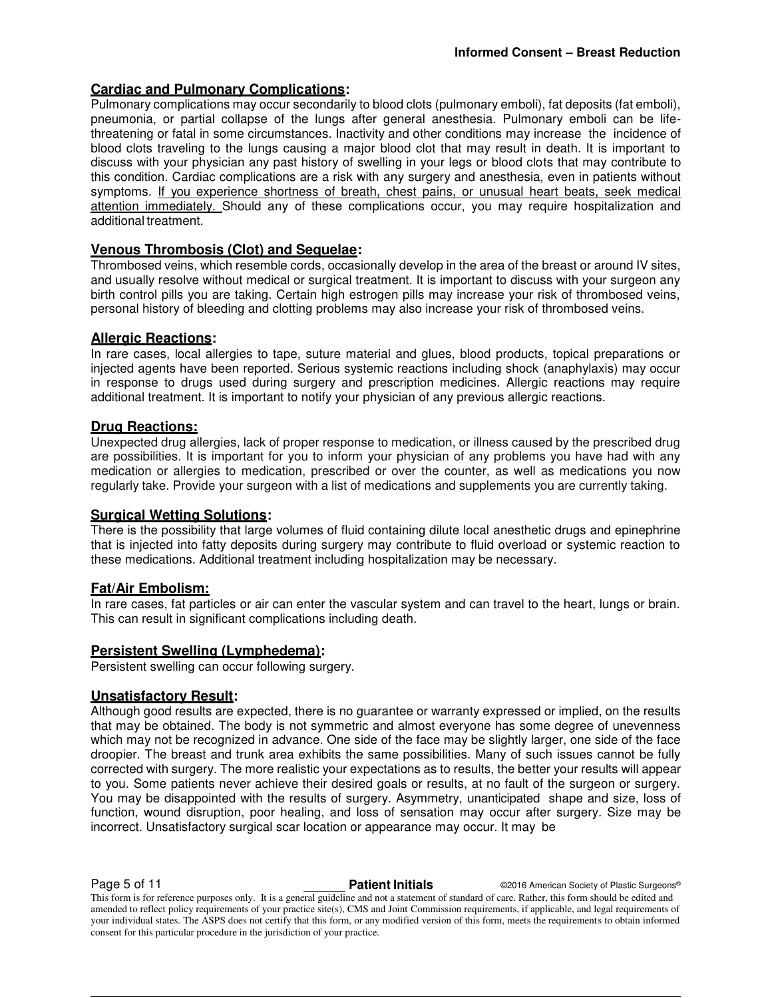### **Cardiac and Pulmonary Complications:**

Pulmonary complications may occur secondarily to blood clots (pulmonary emboli), fat deposits (fat emboli), pneumonia, or partial collapse of the lungs after general anesthesia. Pulmonary emboli can be lifethreatening or fatal in some circumstances. Inactivity and other conditions may increase the incidence of blood clots traveling to the lungs causing a major blood clot that may result in death. It is important to discuss with your physician any past history of swelling in your legs or blood clots that may contribute to this condition. Cardiac complications are a risk with any surgery and anesthesia, even in patients without symptoms. If you experience shortness of breath, chest pains, or unusual heart beats, seek medical attention immediately. Should any of these complications occur, you may require hospitalization and additional treatment.

### **Venous Thrombosis (Clot) and Sequelae:**

Thrombosed veins, which resemble cords, occasionally develop in the area of the breast or around IV sites, and usually resolve without medical or surgical treatment. It is important to discuss with your surgeon any birth control pills you are taking. Certain high estrogen pills may increase your risk of thrombosed veins, personal history of bleeding and clotting problems may also increase your risk of thrombosed veins.

#### **Allergic Reactions:**

In rare cases, local allergies to tape, suture material and glues, blood products, topical preparations or injected agents have been reported. Serious systemic reactions including shock (anaphylaxis) may occur in response to drugs used during surgery and prescription medicines. Allergic reactions may require additional treatment. It is important to notify your physician of any previous allergic reactions.

#### **Drug Reactions:**

Unexpected drug allergies, lack of proper response to medication, or illness caused by the prescribed drug are possibilities. It is important for you to inform your physician of any problems you have had with any medication or allergies to medication, prescribed or over the counter, as well as medications you now regularly take. Provide your surgeon with a list of medications and supplements you are currently taking.

#### **Surgical Wetting Solutions:**

There is the possibility that large volumes of fluid containing dilute local anesthetic drugs and epinephrine that is injected into fatty deposits during surgery may contribute to fluid overload or systemic reaction to these medications. Additional treatment including hospitalization may be necessary.

#### **Fat/Air Embolism:**

In rare cases, fat particles or air can enter the vascular system and can travel to the heart, lungs or brain. This can result in significant complications including death.

#### **Persistent Swelling (Lymphedema):**

Persistent swelling can occur following surgery.

#### **Unsatisfactory Result:**

Although good results are expected, there is no guarantee or warranty expressed or implied, on the results that may be obtained. The body is not symmetric and almost everyone has some degree of unevenness which may not be recognized in advance. One side of the face may be slightly larger, one side of the face droopier. The breast and trunk area exhibits the same possibilities. Many of such issues cannot be fully corrected with surgery. The more realistic your expectations as to results, the better your results will appear to you. Some patients never achieve their desired goals or results, at no fault of the surgeon or surgery. You may be disappointed with the results of surgery. Asymmetry, unanticipated shape and size, loss of function, wound disruption, poor healing, and loss of sensation may occur after surgery. Size may be incorrect. Unsatisfactory surgical scar location or appearance may occur. It may be

**Page 5 of 11 Patient Initials CONFIDENT CONFIDENT CONFIDENT Patient Initials CONFIDENT CONFIDENT CONFIDENT** 

This form is for reference purposes only. It is a general guideline and not a statement of standard of care. Rather, this form should be edited and amended to reflect policy requirements of your practice site(s), CMS and Joint Commission requirements, if applicable, and legal requirements of your individual states. The ASPS does not certify that this form, or any modified version of this form, meets the requirements to obtain informed consent for this particular procedure in the jurisdiction of your practice.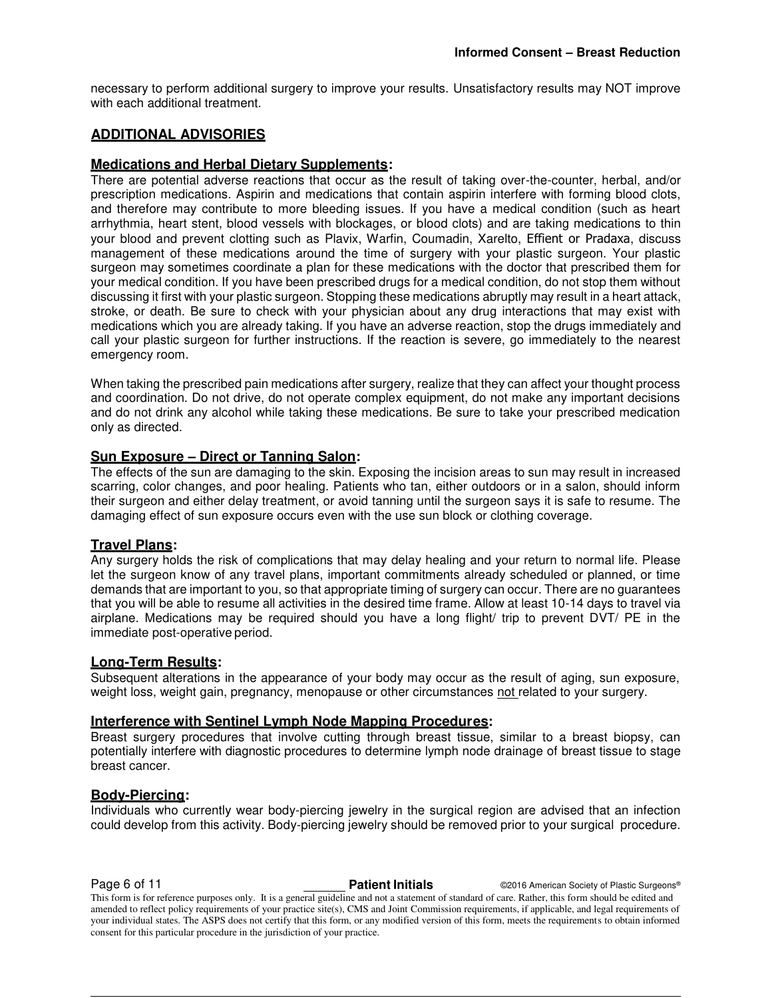necessary to perform additional surgery to improve your results. Unsatisfactory results may NOT improve with each additional treatment.

### **ADDITIONAL ADVISORIES**

#### **Medications and Herbal Dietary Supplements:**

There are potential adverse reactions that occur as the result of taking over-the-counter, herbal, and/or prescription medications. Aspirin and medications that contain aspirin interfere with forming blood clots, and therefore may contribute to more bleeding issues. If you have a medical condition (such as heart arrhythmia, heart stent, blood vessels with blockages, or blood clots) and are taking medications to thin your blood and prevent clotting such as Plavix, Warfin, Coumadin, Xarelto, Effient or Pradaxa, discuss management of these medications around the time of surgery with your plastic surgeon. Your plastic surgeon may sometimes coordinate a plan for these medications with the doctor that prescribed them for your medical condition. If you have been prescribed drugs for a medical condition, do not stop them without discussing it first with your plastic surgeon. Stopping these medications abruptly may result in a heart attack, stroke, or death. Be sure to check with your physician about any drug interactions that may exist with medications which you are already taking. If you have an adverse reaction, stop the drugs immediately and call your plastic surgeon for further instructions. If the reaction is severe, go immediately to the nearest emergency room.

When taking the prescribed pain medications after surgery, realize that they can affect your thought process and coordination. Do not drive, do not operate complex equipment, do not make any important decisions and do not drink any alcohol while taking these medications. Be sure to take your prescribed medication only as directed.

#### **Sun Exposure – Direct or Tanning Salon:**

The effects of the sun are damaging to the skin. Exposing the incision areas to sun may result in increased scarring, color changes, and poor healing. Patients who tan, either outdoors or in a salon, should inform their surgeon and either delay treatment, or avoid tanning until the surgeon says it is safe to resume. The damaging effect of sun exposure occurs even with the use sun block or clothing coverage.

#### **Travel Plans:**

Any surgery holds the risk of complications that may delay healing and your return to normal life. Please let the surgeon know of any travel plans, important commitments already scheduled or planned, or time demands that are important to you, so that appropriate timing of surgery can occur. There are no guarantees that you will be able to resume all activities in the desired time frame. Allow at least 10-14 days to travel via airplane. Medications may be required should you have a long flight/ trip to prevent DVT/ PE in the immediate post-operative period.

#### **Long-Term Results:**

Subsequent alterations in the appearance of your body may occur as the result of aging, sun exposure, weight loss, weight gain, pregnancy, menopause or other circumstances not related to your surgery.

#### **Interference with Sentinel Lymph Node Mapping Procedures:**

Breast surgery procedures that involve cutting through breast tissue, similar to a breast biopsy, can potentially interfere with diagnostic procedures to determine lymph node drainage of breast tissue to stage breast cancer.

#### **Body-Piercing:**

Individuals who currently wear body-piercing jewelry in the surgical region are advised that an infection could develop from this activity. Body-piercing jewelry should be removed prior to your surgical procedure.

**Page 6 of 11 Patient Initials Patient Initials C2016 American Society of Plastic Surgeons®**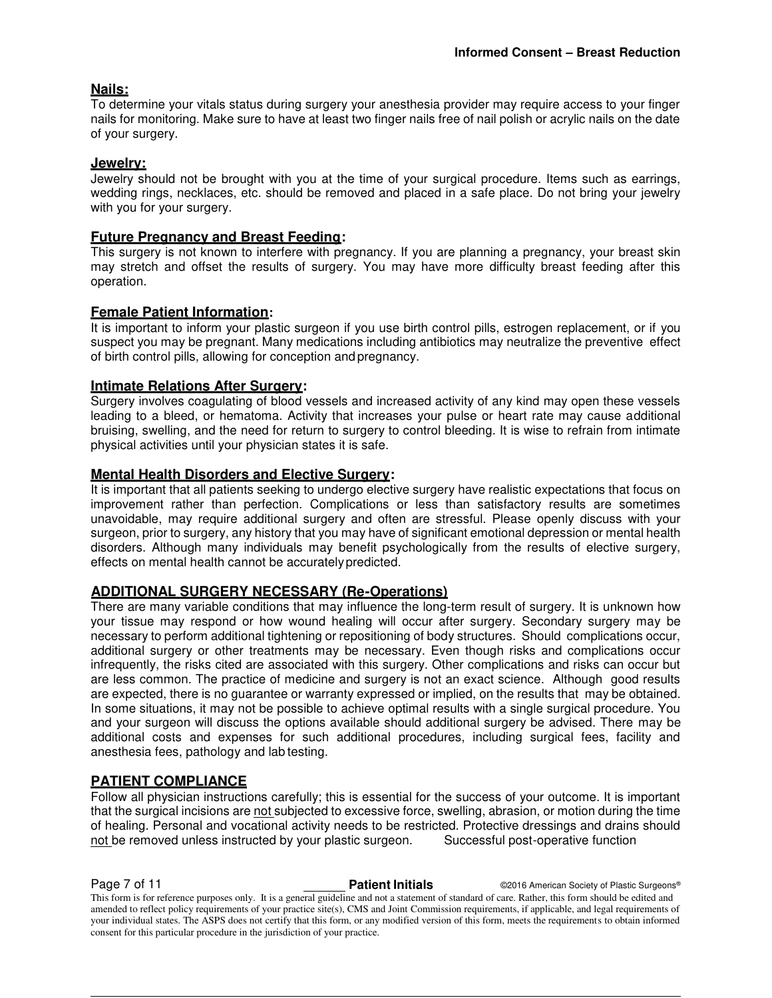#### **Nails:**

To determine your vitals status during surgery your anesthesia provider may require access to your finger nails for monitoring. Make sure to have at least two finger nails free of nail polish or acrylic nails on the date of your surgery.

#### **Jewelry:**

Jewelry should not be brought with you at the time of your surgical procedure. Items such as earrings, wedding rings, necklaces, etc. should be removed and placed in a safe place. Do not bring your jewelry with you for your surgery.

#### **Future Pregnancy and Breast Feeding:**

This surgery is not known to interfere with pregnancy. If you are planning a pregnancy, your breast skin may stretch and offset the results of surgery. You may have more difficulty breast feeding after this operation.

#### **Female Patient Information:**

It is important to inform your plastic surgeon if you use birth control pills, estrogen replacement, or if you suspect you may be pregnant. Many medications including antibiotics may neutralize the preventive effect of birth control pills, allowing for conception and pregnancy.

#### **Intimate Relations After Surgery:**

Surgery involves coagulating of blood vessels and increased activity of any kind may open these vessels leading to a bleed, or hematoma. Activity that increases your pulse or heart rate may cause additional bruising, swelling, and the need for return to surgery to control bleeding. It is wise to refrain from intimate physical activities until your physician states it is safe.

#### **Mental Health Disorders and Elective Surgery:**

It is important that all patients seeking to undergo elective surgery have realistic expectations that focus on improvement rather than perfection. Complications or less than satisfactory results are sometimes unavoidable, may require additional surgery and often are stressful. Please openly discuss with your surgeon, prior to surgery, any history that you may have of significant emotional depression or mental health disorders. Although many individuals may benefit psychologically from the results of elective surgery, effects on mental health cannot be accurately predicted.

#### **ADDITIONAL SURGERY NECESSARY (Re-Operations)**

There are many variable conditions that may influence the long-term result of surgery. It is unknown how your tissue may respond or how wound healing will occur after surgery. Secondary surgery may be necessary to perform additional tightening or repositioning of body structures. Should complications occur, additional surgery or other treatments may be necessary. Even though risks and complications occur infrequently, the risks cited are associated with this surgery. Other complications and risks can occur but are less common. The practice of medicine and surgery is not an exact science. Although good results are expected, there is no guarantee or warranty expressed or implied, on the results that may be obtained. In some situations, it may not be possible to achieve optimal results with a single surgical procedure. You and your surgeon will discuss the options available should additional surgery be advised. There may be additional costs and expenses for such additional procedures, including surgical fees, facility and anesthesia fees, pathology and lab testing.

#### **PATIENT COMPLIANCE**

Follow all physician instructions carefully; this is essential for the success of your outcome. It is important that the surgical incisions are not subjected to excessive force, swelling, abrasion, or motion during the time of healing. Personal and vocational activity needs to be restricted. Protective dressings and drains should not be removed unless instructed by your plastic surgeon. Successful post-operative function

**Page 7 of 11 Patient Initials COVID-2016** American Society of Plastic Surgeons®

This form is for reference purposes only. It is a general guideline and not a statement of standard of care. Rather, this form should be edited and amended to reflect policy requirements of your practice site(s), CMS and Joint Commission requirements, if applicable, and legal requirements of your individual states. The ASPS does not certify that this form, or any modified version of this form, meets the requirements to obtain informed consent for this particular procedure in the jurisdiction of your practice.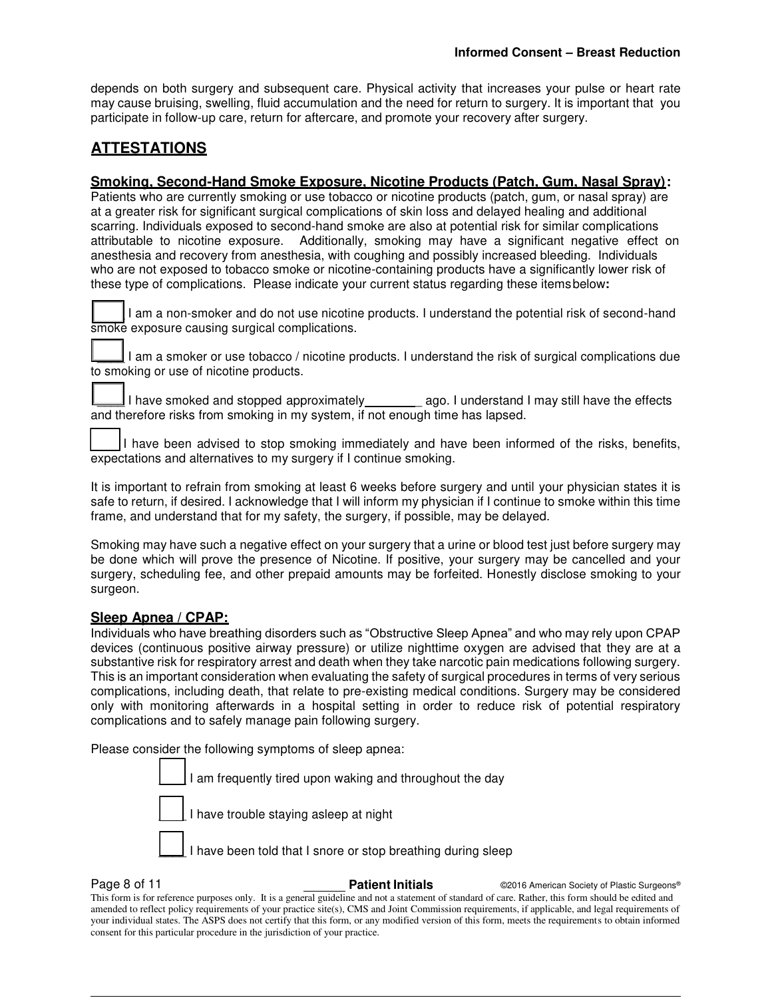depends on both surgery and subsequent care. Physical activity that increases your pulse or heart rate may cause bruising, swelling, fluid accumulation and the need for return to surgery. It is important that you participate in follow-up care, return for aftercare, and promote your recovery after surgery.

## **ATTESTATIONS**

#### **Smoking, Second-Hand Smoke Exposure, Nicotine Products (Patch, Gum, Nasal Spray):**

Patients who are currently smoking or use tobacco or nicotine products (patch, gum, or nasal spray) are at a greater risk for significant surgical complications of skin loss and delayed healing and additional scarring. Individuals exposed to second-hand smoke are also at potential risk for similar complications attributable to nicotine exposure. Additionally, smoking may have a significant negative effect on anesthesia and recovery from anesthesia, with coughing and possibly increased bleeding. Individuals who are not exposed to tobacco smoke or nicotine-containing products have a significantly lower risk of these type of complications. Please indicate your current status regarding these items below**:** 

I am a non-smoker and do not use nicotine products. I understand the potential risk of second-hand smoke exposure causing surgical complications.

I am a smoker or use tobacco / nicotine products. I understand the risk of surgical complications due to smoking or use of nicotine products.

I have smoked and stopped approximately equal ago. I understand I may still have the effects and therefore risks from smoking in my system, if not enough time has lapsed.

I have been advised to stop smoking immediately and have been informed of the risks, benefits, expectations and alternatives to my surgery if I continue smoking.

It is important to refrain from smoking at least 6 weeks before surgery and until your physician states it is safe to return, if desired. I acknowledge that I will inform my physician if I continue to smoke within this time frame, and understand that for my safety, the surgery, if possible, may be delayed.

Smoking may have such a negative effect on your surgery that a urine or blood test just before surgery may be done which will prove the presence of Nicotine. If positive, your surgery may be cancelled and your surgery, scheduling fee, and other prepaid amounts may be forfeited. Honestly disclose smoking to your surgeon.

#### **Sleep Apnea / CPAP:**

Individuals who have breathing disorders such as "Obstructive Sleep Apnea" and who may rely upon CPAP devices (continuous positive airway pressure) or utilize nighttime oxygen are advised that they are at a substantive risk for respiratory arrest and death when they take narcotic pain medications following surgery. This is an important consideration when evaluating the safety of surgical procedures in terms of very serious complications, including death, that relate to pre-existing medical conditions. Surgery may be considered only with monitoring afterwards in a hospital setting in order to reduce risk of potential respiratory complications and to safely manage pain following surgery.

Please consider the following symptoms of sleep apnea:



**Page 8 of 11 Patient Initials Patient Initials C2016 American Society of Plastic Surgeons®**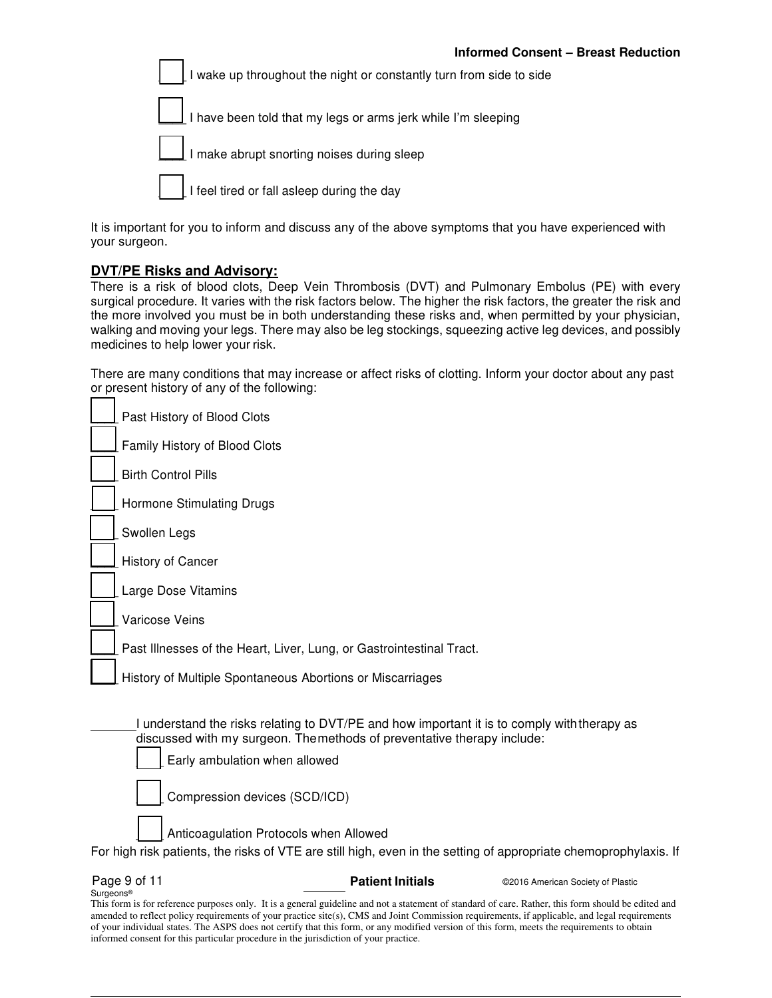I wake up throughout the night or constantly turn from side to side

I have been told that my legs or arms jerk while I'm sleeping



I feel tired or fall asleep during the day

It is important for you to inform and discuss any of the above symptoms that you have experienced with your surgeon.

#### **DVT/PE Risks and Advisory:**

There is a risk of blood clots, Deep Vein Thrombosis (DVT) and Pulmonary Embolus (PE) with every surgical procedure. It varies with the risk factors below. The higher the risk factors, the greater the risk and the more involved you must be in both understanding these risks and, when permitted by your physician, walking and moving your legs. There may also be leg stockings, squeezing active leg devices, and possibly medicines to help lower your risk.

There are many conditions that may increase or affect risks of clotting. Inform your doctor about any past or present history of any of the following:

| Page 9 of 11<br><b>Patient Initials</b><br>©2016 American Society of Plastic                                                                               |
|------------------------------------------------------------------------------------------------------------------------------------------------------------|
| Anticoagulation Protocols when Allowed<br>For high risk patients, the risks of VTE are still high, even in the setting of appropriate chemoprophylaxis. If |
| Compression devices (SCD/ICD)                                                                                                                              |
| Early ambulation when allowed                                                                                                                              |
| discussed with my surgeon. Themethods of preventative therapy include:                                                                                     |
| I understand the risks relating to DVT/PE and how important it is to comply with therapy as                                                                |
| History of Multiple Spontaneous Abortions or Miscarriages                                                                                                  |
| Past Illnesses of the Heart, Liver, Lung, or Gastrointestinal Tract.                                                                                       |
| Varicose Veins                                                                                                                                             |
| Large Dose Vitamins                                                                                                                                        |
| History of Cancer                                                                                                                                          |
| Swollen Legs                                                                                                                                               |
| Hormone Stimulating Drugs                                                                                                                                  |
| <b>Birth Control Pills</b>                                                                                                                                 |
| Family History of Blood Clots                                                                                                                              |
| Past History of Blood Clots                                                                                                                                |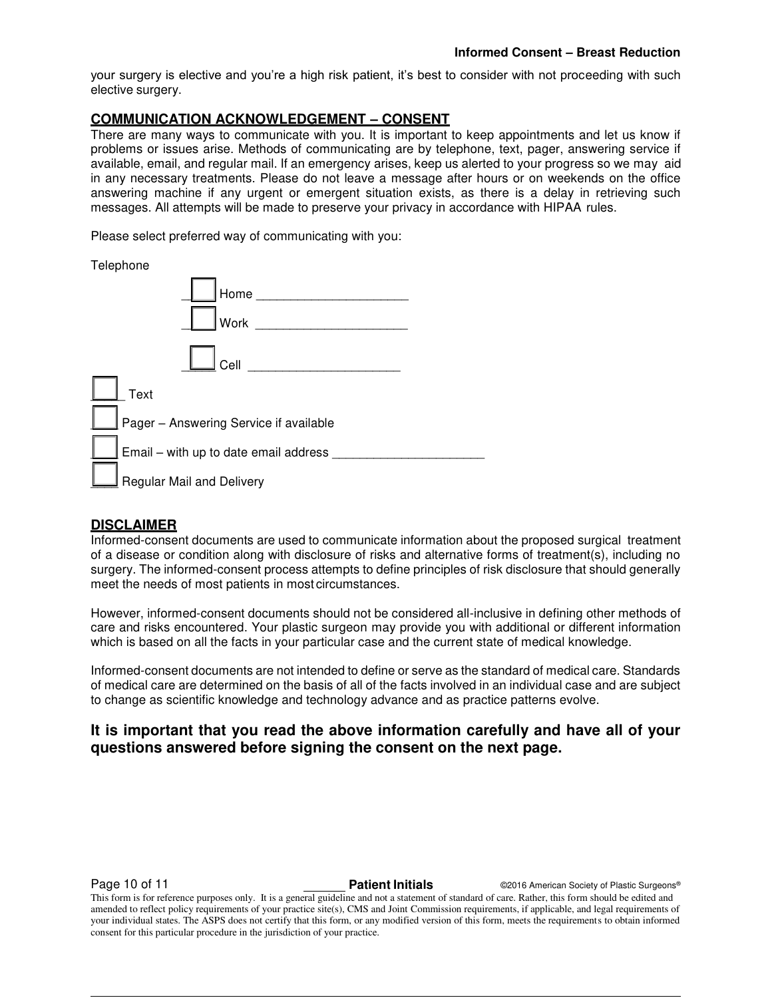your surgery is elective and you're a high risk patient, it's best to consider with not proceeding with such elective surgery.

#### **COMMUNICATION ACKNOWLEDGEMENT – CONSENT**

There are many ways to communicate with you. It is important to keep appointments and let us know if problems or issues arise. Methods of communicating are by telephone, text, pager, answering service if available, email, and regular mail. If an emergency arises, keep us alerted to your progress so we may aid in any necessary treatments. Please do not leave a message after hours or on weekends on the office answering machine if any urgent or emergent situation exists, as there is a delay in retrieving such messages. All attempts will be made to preserve your privacy in accordance with HIPAA rules.

Please select preferred way of communicating with you:

#### Telephone

| Home<br>Work                           |  |
|----------------------------------------|--|
| Cell                                   |  |
| Text                                   |  |
| Pager - Answering Service if available |  |
| Email - with up to date email address  |  |
| Regular Mail and Delivery              |  |

### **DISCLAIMER**

Informed-consent documents are used to communicate information about the proposed surgical treatment of a disease or condition along with disclosure of risks and alternative forms of treatment(s), including no surgery. The informed-consent process attempts to define principles of risk disclosure that should generally meet the needs of most patients in most circumstances.

However, informed-consent documents should not be considered all-inclusive in defining other methods of care and risks encountered. Your plastic surgeon may provide you with additional or different information which is based on all the facts in your particular case and the current state of medical knowledge.

Informed-consent documents are not intended to define or serve as the standard of medical care. Standards of medical care are determined on the basis of all of the facts involved in an individual case and are subject to change as scientific knowledge and technology advance and as practice patterns evolve.

### **It is important that you read the above information carefully and have all of your questions answered before signing the consent on the next page.**

**Page 10 of 11 Patient Initials Patient Initials C2016 American Society of Plastic Surgeons®**